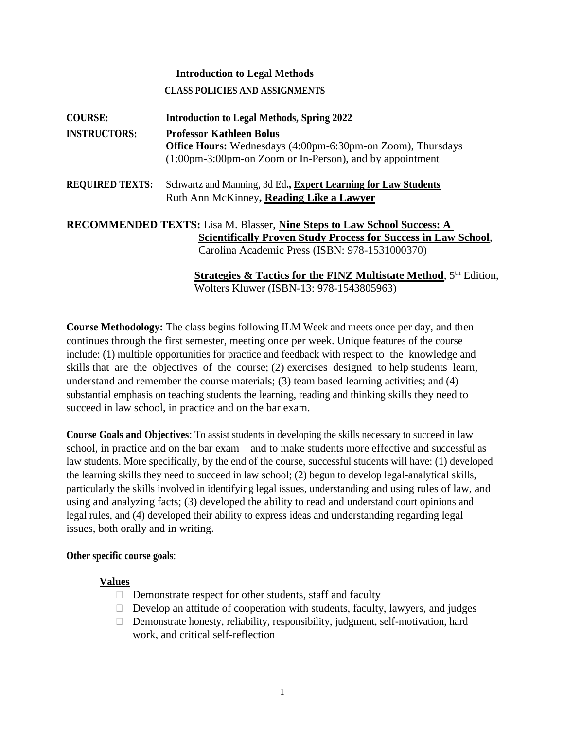# **Introduction to Legal Methods**

# **CLASS POLICIES AND ASSIGNMENTS**

| <b>COURSE:</b>         | <b>Introduction to Legal Methods, Spring 2022</b>                              |  |  |
|------------------------|--------------------------------------------------------------------------------|--|--|
| <b>INSTRUCTORS:</b>    | <b>Professor Kathleen Bolus</b>                                                |  |  |
|                        | <b>Office Hours:</b> Wednesdays (4:00pm-6:30pm-on Zoom), Thursdays             |  |  |
|                        | $(1:00 \text{pm-3}:00 \text{pm-on}$ Zoom or In-Person), and by appointment     |  |  |
| <b>REQUIRED TEXTS:</b> | Schwartz and Manning, 3d Ed., Expert Learning for Law Students                 |  |  |
|                        | Ruth Ann McKinney, Reading Like a Lawyer                                       |  |  |
|                        | <b>RECOMMENDED TEXTS:</b> Lisa M. Blasser, Nine Steps to Law School Success: A |  |  |
|                        | <b>Scientifically Proven Study Process for Success in Law School,</b>          |  |  |
|                        | Carolina Academic Press (ISBN: 978-1531000370)                                 |  |  |
|                        | <u>a su manda di seria seria di sebesar d</u>                                  |  |  |

#### **Strategies & Tactics for the FINZ Multistate Method**, 5<sup>th</sup> Edition, Wolters Kluwer (ISBN-13: 978-1543805963)

**Course Methodology:** The class begins following ILM Week and meets once per day, and then continues through the first semester, meeting once per week. Unique features of the course include: (1) multiple opportunities for practice and feedback with respect to the knowledge and skills that are the objectives of the course; (2) exercises designed to help students learn, understand and remember the course materials; (3) team based learning activities; and (4) substantial emphasis on teaching students the learning, reading and thinking skills they need to succeed in law school, in practice and on the bar exam.

**Course Goals and Objectives**: To assist students in developing the skills necessary to succeed in law school, in practice and on the bar exam—and to make students more effective and successful as law students. More specifically, by the end of the course, successful students will have: (1) developed the learning skills they need to succeed in law school; (2) begun to develop legal-analytical skills, particularly the skills involved in identifying legal issues, understanding and using rules of law, and using and analyzing facts; (3) developed the ability to read and understand court opinions and legal rules, and (4) developed their ability to express ideas and understanding regarding legal issues, both orally and in writing.

#### **Other specific course goals**:

#### **Values**

- $\Box$  Demonstrate respect for other students, staff and faculty
- $\Box$  Develop an attitude of cooperation with students, faculty, lawyers, and judges
- $\Box$  Demonstrate honesty, reliability, responsibility, judgment, self-motivation, hard work, and critical self-reflection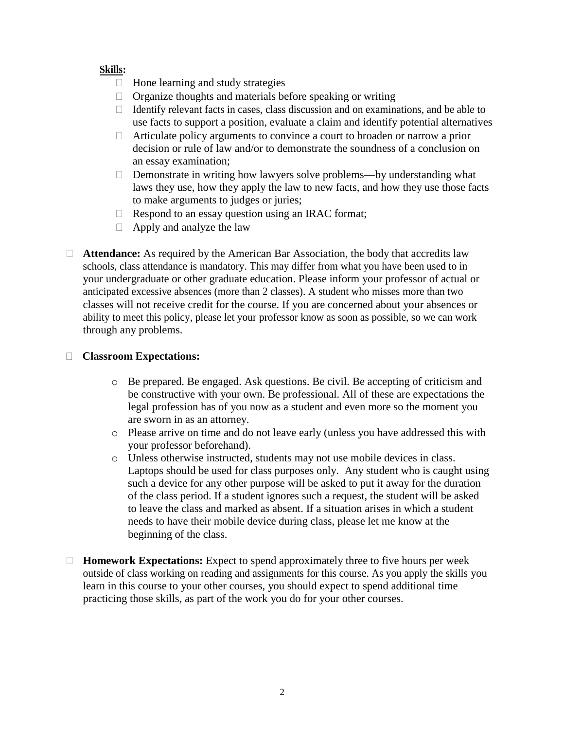# **Skills:**

- $\Box$  Hone learning and study strategies
- $\Box$  Organize thoughts and materials before speaking or writing
- $\Box$  Identify relevant facts in cases, class discussion and on examinations, and be able to use facts to support a position, evaluate a claim and identify potential alternatives
- $\Box$  Articulate policy arguments to convince a court to broaden or narrow a prior decision or rule of law and/or to demonstrate the soundness of a conclusion on an essay examination;
- □ Demonstrate in writing how lawyers solve problems—by understanding what laws they use, how they apply the law to new facts, and how they use those facts to make arguments to judges or juries;
- $\Box$  Respond to an essay question using an IRAC format;
- $\Box$  Apply and analyze the law
- □ **Attendance:** As required by the American Bar Association, the body that accredits law schools, class attendance is mandatory. This may differ from what you have been used to in your undergraduate or other graduate education. Please inform your professor of actual or anticipated excessive absences (more than 2 classes). A student who misses more than two classes will not receive credit for the course. If you are concerned about your absences or ability to meet this policy, please let your professor know as soon as possible, so we can work through any problems.

#### **Classroom Expectations:**

- o Be prepared. Be engaged. Ask questions. Be civil. Be accepting of criticism and be constructive with your own. Be professional. All of these are expectations the legal profession has of you now as a student and even more so the moment you are sworn in as an attorney.
- o Please arrive on time and do not leave early (unless you have addressed this with your professor beforehand).
- o Unless otherwise instructed, students may not use mobile devices in class. Laptops should be used for class purposes only. Any student who is caught using such a device for any other purpose will be asked to put it away for the duration of the class period. If a student ignores such a request, the student will be asked to leave the class and marked as absent. If a situation arises in which a student needs to have their mobile device during class, please let me know at the beginning of the class.
- **Homework Expectations:** Expect to spend approximately three to five hours per week outside of class working on reading and assignments for this course. As you apply the skills you learn in this course to your other courses, you should expect to spend additional time practicing those skills, as part of the work you do for your other courses.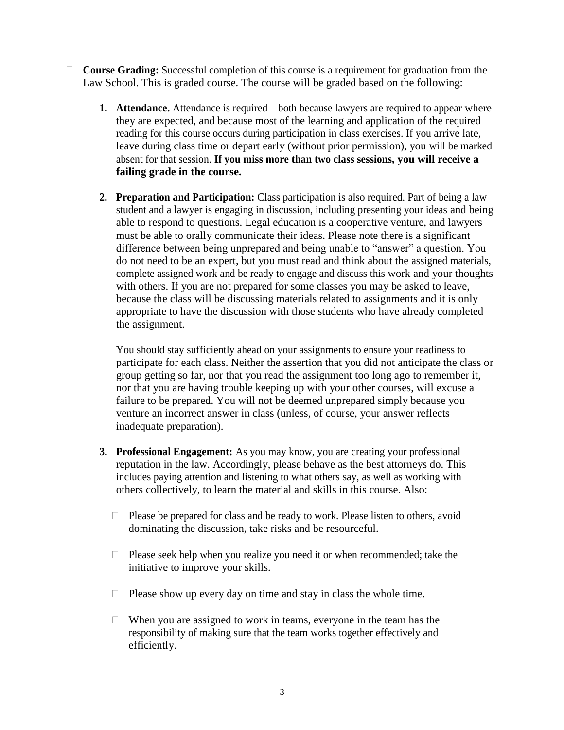- **Course Grading:** Successful completion of this course is a requirement for graduation from the Law School. This is graded course. The course will be graded based on the following:
	- **1. Attendance.** Attendance is required—both because lawyers are required to appear where they are expected, and because most of the learning and application of the required reading for this course occurs during participation in class exercises. If you arrive late, leave during class time or depart early (without prior permission), you will be marked absent for that session. **If you miss more than two class sessions, you will receive a failing grade in the course.**
	- **2. Preparation and Participation:** Class participation is also required. Part of being a law student and a lawyer is engaging in discussion, including presenting your ideas and being able to respond to questions. Legal education is a cooperative venture, and lawyers must be able to orally communicate their ideas. Please note there is a significant difference between being unprepared and being unable to "answer" a question. You do not need to be an expert, but you must read and think about the assigned materials, complete assigned work and be ready to engage and discuss this work and your thoughts with others. If you are not prepared for some classes you may be asked to leave, because the class will be discussing materials related to assignments and it is only appropriate to have the discussion with those students who have already completed the assignment.

You should stay sufficiently ahead on your assignments to ensure your readiness to participate for each class. Neither the assertion that you did not anticipate the class or group getting so far, nor that you read the assignment too long ago to remember it, nor that you are having trouble keeping up with your other courses, will excuse a failure to be prepared. You will not be deemed unprepared simply because you venture an incorrect answer in class (unless, of course, your answer reflects inadequate preparation).

- **3. Professional Engagement:** As you may know, you are creating your professional reputation in the law. Accordingly, please behave as the best attorneys do. This includes paying attention and listening to what others say, as well as working with others collectively, to learn the material and skills in this course. Also:
	- $\Box$  Please be prepared for class and be ready to work. Please listen to others, avoid dominating the discussion, take risks and be resourceful.
	- $\Box$  Please seek help when you realize you need it or when recommended; take the initiative to improve your skills.
	- $\Box$  Please show up every day on time and stay in class the whole time.
	- $\Box$  When you are assigned to work in teams, everyone in the team has the responsibility of making sure that the team works together effectively and efficiently.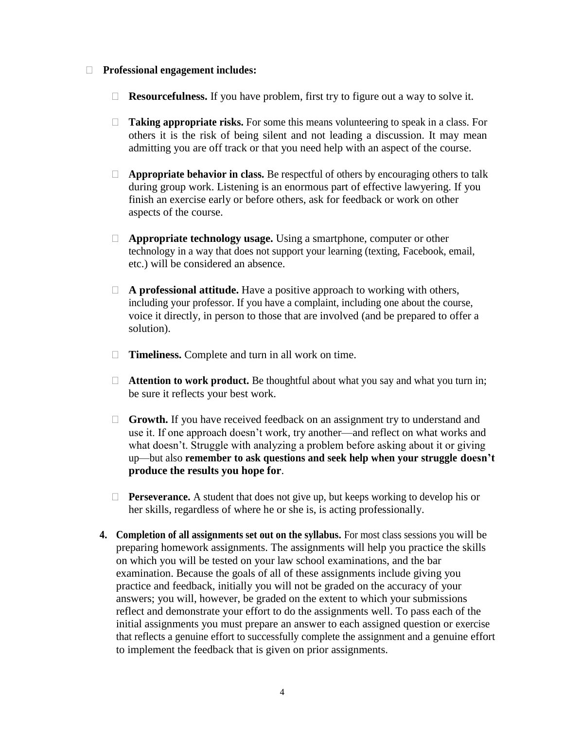#### **Professional engagement includes:**

- **Resourcefulness.** If you have problem, first try to figure out a way to solve it.
- **Taking appropriate risks.** For some this means volunteering to speak in a class. For others it is the risk of being silent and not leading a discussion. It may mean admitting you are off track or that you need help with an aspect of the course.
- **Appropriate behavior in class.** Be respectful of others by encouraging others to talk during group work. Listening is an enormous part of effective lawyering. If you finish an exercise early or before others, ask for feedback or work on other aspects of the course.
- **Appropriate technology usage.** Using a smartphone, computer or other technology in a way that does not support your learning (texting, Facebook, email, etc.) will be considered an absence.
- **A professional attitude.** Have a positive approach to working with others, including your professor. If you have a complaint, including one about the course, voice it directly, in person to those that are involved (and be prepared to offer a solution).
- □ **Timeliness.** Complete and turn in all work on time.
- **Attention to work product.** Be thoughtful about what you say and what you turn in; be sure it reflects your best work.
- **Growth.** If you have received feedback on an assignment try to understand and use it. If one approach doesn't work, try another—and reflect on what works and what doesn't. Struggle with analyzing a problem before asking about it or giving up—but also **remember to ask questions and seek help when your struggle doesn't produce the results you hope for**.
- **Perseverance.** A student that does not give up, but keeps working to develop his or her skills, regardless of where he or she is, is acting professionally.
- **4. Completion of all assignments set out on the syllabus.** For most class sessions you will be preparing homework assignments. The assignments will help you practice the skills on which you will be tested on your law school examinations, and the bar examination. Because the goals of all of these assignments include giving you practice and feedback, initially you will not be graded on the accuracy of your answers; you will, however, be graded on the extent to which your submissions reflect and demonstrate your effort to do the assignments well. To pass each of the initial assignments you must prepare an answer to each assigned question or exercise that reflects a genuine effort to successfully complete the assignment and a genuine effort to implement the feedback that is given on prior assignments.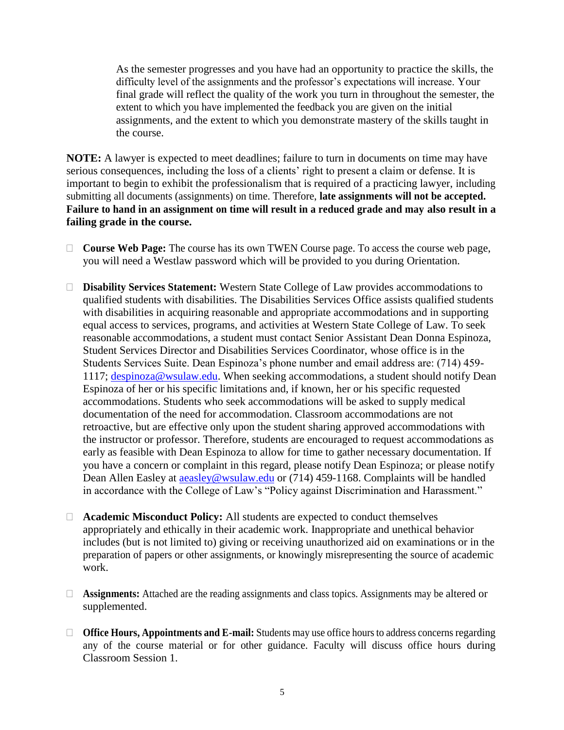As the semester progresses and you have had an opportunity to practice the skills, the difficulty level of the assignments and the professor's expectations will increase. Your final grade will reflect the quality of the work you turn in throughout the semester, the extent to which you have implemented the feedback you are given on the initial assignments, and the extent to which you demonstrate mastery of the skills taught in the course.

**NOTE:** A lawyer is expected to meet deadlines; failure to turn in documents on time may have serious consequences, including the loss of a clients' right to present a claim or defense. It is important to begin to exhibit the professionalism that is required of a practicing lawyer, including submitting all documents (assignments) on time. Therefore, **late assignments will not be accepted. Failure to hand in an assignment on time will result in a reduced grade and may also result in a failing grade in the course.**

- **Course Web Page:** The course has its own TWEN Course page. To access the course web page, you will need a Westlaw password which will be provided to you during Orientation.
- **Disability Services Statement:** Western State College of Law provides accommodations to qualified students with disabilities. The Disabilities Services Office assists qualified students with disabilities in acquiring reasonable and appropriate accommodations and in supporting equal access to services, programs, and activities at Western State College of Law. To seek reasonable accommodations, a student must contact Senior Assistant Dean Donna Espinoza, Student Services Director and Disabilities Services Coordinator, whose office is in the Students Services Suite. Dean Espinoza's phone number and email address are: (714) 459- 1117; [despinoza@wsulaw.edu.](mailto:despinoza@wsulaw.edu) When seeking accommodations, a student should notify Dean Espinoza of her or his specific limitations and, if known, her or his specific requested accommodations. Students who seek accommodations will be asked to supply medical documentation of the need for accommodation. Classroom accommodations are not retroactive, but are effective only upon the student sharing approved accommodations with the instructor or professor. Therefore, students are encouraged to request accommodations as early as feasible with Dean Espinoza to allow for time to gather necessary documentation. If you have a concern or complaint in this regard, please notify Dean Espinoza; or please notify Dean Allen Easley at [aeasley@wsulaw.edu](mailto:aeasley@wsulaw.edu) or (714) 459-1168. Complaints will be handled in accordance with the College of Law's "Policy against Discrimination and Harassment."
- **Academic Misconduct Policy:** All students are expected to conduct themselves appropriately and ethically in their academic work. Inappropriate and unethical behavior includes (but is not limited to) giving or receiving unauthorized aid on examinations or in the preparation of papers or other assignments, or knowingly misrepresenting the source of academic work.
- **Assignments:** Attached are the reading assignments and class topics. Assignments may be altered or supplemented.
- □ **Office Hours, Appointments and E-mail:** Students may use office hours to address concerns regarding any of the course material or for other guidance. Faculty will discuss office hours during Classroom Session 1.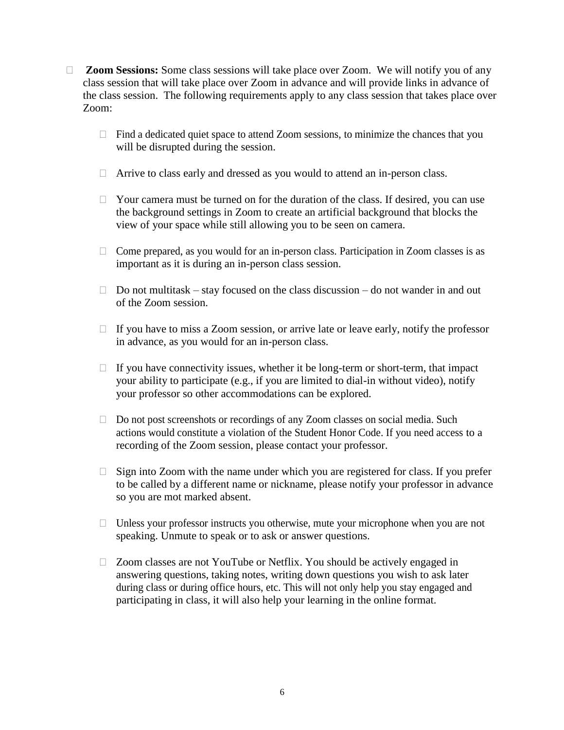- □ **Zoom Sessions:** Some class sessions will take place over Zoom. We will notify you of any class session that will take place over Zoom in advance and will provide links in advance of the class session. The following requirements apply to any class session that takes place over Zoom:
	- $\Box$  Find a dedicated quiet space to attend Zoom sessions, to minimize the chances that you will be disrupted during the session.
	- □ Arrive to class early and dressed as you would to attend an in-person class.
	- $\Box$  Your camera must be turned on for the duration of the class. If desired, you can use the background settings in Zoom to create an artificial background that blocks the view of your space while still allowing you to be seen on camera.
	- $\Box$  Come prepared, as you would for an in-person class. Participation in Zoom classes is as important as it is during an in-person class session.
	- $\Box$  Do not multitask stay focused on the class discussion do not wander in and out of the Zoom session.
	- $\Box$  If you have to miss a Zoom session, or arrive late or leave early, notify the professor in advance, as you would for an in-person class.
	- $\Box$  If you have connectivity issues, whether it be long-term or short-term, that impact your ability to participate (e.g., if you are limited to dial-in without video), notify your professor so other accommodations can be explored.
	- $\Box$  Do not post screenshots or recordings of any Zoom classes on social media. Such actions would constitute a violation of the Student Honor Code. If you need access to a recording of the Zoom session, please contact your professor.
	- $\Box$  Sign into Zoom with the name under which you are registered for class. If you prefer to be called by a different name or nickname, please notify your professor in advance so you are mot marked absent.
	- $\Box$  Unless your professor instructs you otherwise, mute your microphone when you are not speaking. Unmute to speak or to ask or answer questions.
	- □ Zoom classes are not YouTube or Netflix. You should be actively engaged in answering questions, taking notes, writing down questions you wish to ask later during class or during office hours, etc. This will not only help you stay engaged and participating in class, it will also help your learning in the online format.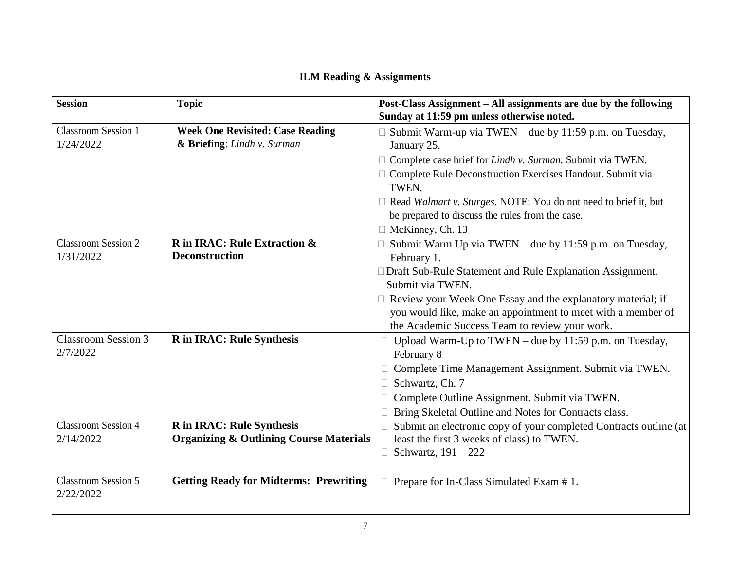# **ILM Reading & Assignments**

| <b>Session</b>                          | <b>Topic</b>                                       | Post-Class Assignment - All assignments are due by the following<br>Sunday at 11:59 pm unless otherwise noted. |
|-----------------------------------------|----------------------------------------------------|----------------------------------------------------------------------------------------------------------------|
| <b>Classroom Session 1</b>              | <b>Week One Revisited: Case Reading</b>            | $\Box$ Submit Warm-up via TWEN – due by 11:59 p.m. on Tuesday,                                                 |
| 1/24/2022                               | & Briefing: Lindh v. Surman                        | January 25.                                                                                                    |
|                                         |                                                    | $\Box$ Complete case brief for Lindh v. Surman. Submit via TWEN.                                               |
|                                         |                                                    | Complete Rule Deconstruction Exercises Handout. Submit via<br>TWEN.                                            |
|                                         |                                                    | $\Box$ Read Walmart v. Sturges. NOTE: You do not need to brief it, but                                         |
|                                         |                                                    | be prepared to discuss the rules from the case.                                                                |
|                                         |                                                    | McKinney, Ch. 13                                                                                               |
| <b>Classroom Session 2</b>              | <b>R</b> in IRAC: Rule Extraction $\&$             | $\Box$ Submit Warm Up via TWEN – due by 11:59 p.m. on Tuesday,                                                 |
| 1/31/2022                               | <b>Deconstruction</b>                              | February 1.                                                                                                    |
|                                         |                                                    | □ Draft Sub-Rule Statement and Rule Explanation Assignment.                                                    |
|                                         |                                                    | Submit via TWEN.                                                                                               |
|                                         |                                                    | $\Box$ Review your Week One Essay and the explanatory material; if                                             |
|                                         |                                                    | you would like, make an appointment to meet with a member of                                                   |
|                                         |                                                    | the Academic Success Team to review your work.                                                                 |
| <b>Classroom Session 3</b>              | <b>R</b> in IRAC: Rule Synthesis                   | Upload Warm-Up to TWEN – due by $11:59$ p.m. on Tuesday,                                                       |
| 2/7/2022                                |                                                    | February 8                                                                                                     |
|                                         |                                                    | Complete Time Management Assignment. Submit via TWEN.                                                          |
|                                         |                                                    | Schwartz, Ch. 7                                                                                                |
|                                         |                                                    | Complete Outline Assignment. Submit via TWEN.                                                                  |
|                                         |                                                    | Bring Skeletal Outline and Notes for Contracts class.                                                          |
| <b>Classroom Session 4</b>              | <b>R</b> in IRAC: Rule Synthesis                   | Submit an electronic copy of your completed Contracts outline (at                                              |
| 2/14/2022                               | <b>Organizing &amp; Outlining Course Materials</b> | least the first 3 weeks of class) to TWEN.                                                                     |
|                                         |                                                    | $\Box$ Schwartz, 191 – 222                                                                                     |
|                                         |                                                    |                                                                                                                |
| <b>Classroom Session 5</b><br>2/22/2022 | <b>Getting Ready for Midterms: Prewriting</b>      | $\Box$ Prepare for In-Class Simulated Exam # 1.                                                                |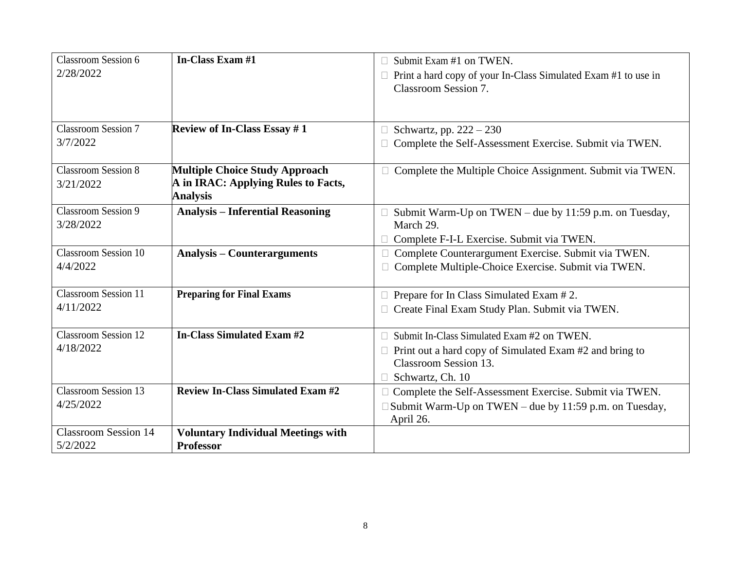| <b>Classroom Session 6</b>  | In-Class Exam #1                          | Submit Exam #1 on TWEN.                                                                       |
|-----------------------------|-------------------------------------------|-----------------------------------------------------------------------------------------------|
| 2/28/2022                   |                                           | $\Box$ Print a hard copy of your In-Class Simulated Exam #1 to use in<br>Classroom Session 7. |
|                             |                                           |                                                                                               |
| <b>Classroom Session 7</b>  | <b>Review of In-Class Essay #1</b>        | $\Box$ Schwartz, pp. 222 – 230                                                                |
| 3/7/2022                    |                                           | Complete the Self-Assessment Exercise. Submit via TWEN.                                       |
| <b>Classroom Session 8</b>  | <b>Multiple Choice Study Approach</b>     | $\Box$ Complete the Multiple Choice Assignment. Submit via TWEN.                              |
| 3/21/2022                   | A in IRAC: Applying Rules to Facts,       |                                                                                               |
|                             | <b>Analysis</b>                           |                                                                                               |
| <b>Classroom Session 9</b>  | <b>Analysis - Inferential Reasoning</b>   | Submit Warm-Up on TWEN – due by 11:59 p.m. on Tuesday,                                        |
| 3/28/2022                   |                                           | March 29.                                                                                     |
|                             |                                           | Complete F-I-L Exercise. Submit via TWEN.                                                     |
| <b>Classroom Session 10</b> | <b>Analysis – Counterarguments</b>        | Complete Counterargument Exercise. Submit via TWEN.                                           |
| 4/4/2022                    |                                           | Complete Multiple-Choice Exercise. Submit via TWEN.                                           |
|                             |                                           |                                                                                               |
| <b>Classroom Session 11</b> | <b>Preparing for Final Exams</b>          | Prepare for In Class Simulated Exam #2.                                                       |
| 4/11/2022                   |                                           | Create Final Exam Study Plan. Submit via TWEN.                                                |
| <b>Classroom Session 12</b> | In-Class Simulated Exam #2                | Submit In-Class Simulated Exam #2 on TWEN.                                                    |
| 4/18/2022                   |                                           | $\Box$ Print out a hard copy of Simulated Exam #2 and bring to                                |
|                             |                                           | Classroom Session 13.                                                                         |
|                             |                                           | Schwartz, Ch. 10                                                                              |
| <b>Classroom Session 13</b> | <b>Review In-Class Simulated Exam #2</b>  | □ Complete the Self-Assessment Exercise. Submit via TWEN.                                     |
| 4/25/2022                   |                                           | $\Box$ Submit Warm-Up on TWEN – due by 11:59 p.m. on Tuesday,                                 |
|                             |                                           | April 26.                                                                                     |
| <b>Classroom Session 14</b> | <b>Voluntary Individual Meetings with</b> |                                                                                               |
| 5/2/2022                    | <b>Professor</b>                          |                                                                                               |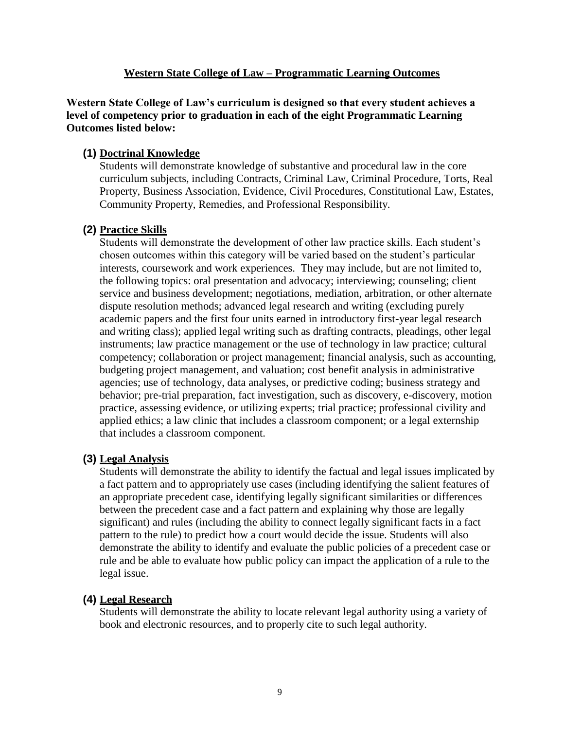# **Western State College of Law – Programmatic Learning Outcomes**

**Western State College of Law's curriculum is designed so that every student achieves a level of competency prior to graduation in each of the eight Programmatic Learning Outcomes listed below:**

# **(1) Doctrinal Knowledge**

Students will demonstrate knowledge of substantive and procedural law in the core curriculum subjects, including Contracts, Criminal Law, Criminal Procedure, Torts, Real Property, Business Association, Evidence, Civil Procedures, Constitutional Law, Estates, Community Property, Remedies, and Professional Responsibility.

# **(2) Practice Skills**

Students will demonstrate the development of other law practice skills. Each student's chosen outcomes within this category will be varied based on the student's particular interests, coursework and work experiences. They may include, but are not limited to, the following topics: oral presentation and advocacy; interviewing; counseling; client service and business development; negotiations, mediation, arbitration, or other alternate dispute resolution methods; advanced legal research and writing (excluding purely academic papers and the first four units earned in introductory first-year legal research and writing class); applied legal writing such as drafting contracts, pleadings, other legal instruments; law practice management or the use of technology in law practice; cultural competency; collaboration or project management; financial analysis, such as accounting, budgeting project management, and valuation; cost benefit analysis in administrative agencies; use of technology, data analyses, or predictive coding; business strategy and behavior; pre-trial preparation, fact investigation, such as discovery, e-discovery, motion practice, assessing evidence, or utilizing experts; trial practice; professional civility and applied ethics; a law clinic that includes a classroom component; or a legal externship that includes a classroom component.

# **(3) Legal Analysis**

Students will demonstrate the ability to identify the factual and legal issues implicated by a fact pattern and to appropriately use cases (including identifying the salient features of an appropriate precedent case, identifying legally significant similarities or differences between the precedent case and a fact pattern and explaining why those are legally significant) and rules (including the ability to connect legally significant facts in a fact pattern to the rule) to predict how a court would decide the issue. Students will also demonstrate the ability to identify and evaluate the public policies of a precedent case or rule and be able to evaluate how public policy can impact the application of a rule to the legal issue.

#### **(4) Legal Research**

Students will demonstrate the ability to locate relevant legal authority using a variety of book and electronic resources, and to properly cite to such legal authority.